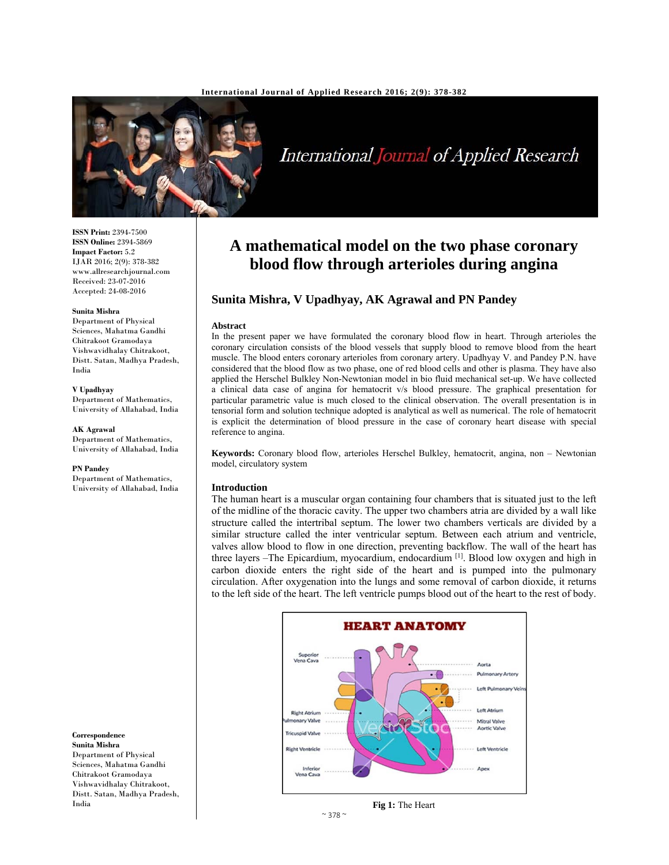

# International Journal of Applied Research

**ISSN Print:** 2394-7500 **ISSN Online:** 2394-5869 **Impact Factor:** 5.2 IJAR 2016; 2(9): 378-382 www.allresearchjournal.com Received: 23-07-2016 Accepted: 24-08-2016

#### **Sunita Mishra**

Department of Physical Sciences, Mahatma Gandhi Chitrakoot Gramodaya Vishwavidhalay Chitrakoot, Distt. Satan, Madhya Pradesh, India

**V Upadhyay** Department of Mathematics, University of Allahabad, India

#### **AK Agrawal**

Department of Mathematics, University of Allahabad, India

#### **PN Pandey**

Department of Mathematics, University of Allahabad, India



## **A mathematical model on the two phase coronary blood flow through arterioles during angina**

## **Sunita Mishra, V Upadhyay, AK Agrawal and PN Pandey**

#### **Abstract**

In the present paper we have formulated the coronary blood flow in heart. Through arterioles the coronary circulation consists of the blood vessels that supply blood to remove blood from the heart muscle. The blood enters coronary arterioles from coronary artery. Upadhyay V. and Pandey P.N. have considered that the blood flow as two phase, one of red blood cells and other is plasma. They have also applied the Herschel Bulkley Non-Newtonian model in bio fluid mechanical set-up. We have collected a clinical data case of angina for hematocrit v/s blood pressure. The graphical presentation for particular parametric value is much closed to the clinical observation. The overall presentation is in tensorial form and solution technique adopted is analytical as well as numerical. The role of hematocrit is explicit the determination of blood pressure in the case of coronary heart disease with special reference to angina.

**Keywords:** Coronary blood flow, arterioles Herschel Bulkley, hematocrit, angina, non – Newtonian model, circulatory system

#### **Introduction**

The human heart is a muscular organ containing four chambers that is situated just to the left of the midline of the thoracic cavity. The upper two chambers atria are divided by a wall like structure called the intertribal septum. The lower two chambers verticals are divided by a similar structure called the inter ventricular septum. Between each atrium and ventricle, valves allow blood to flow in one direction, preventing backflow. The wall of the heart has three layers –The Epicardium, myocardium, endocardium [1]. Blood low oxygen and high in carbon dioxide enters the right side of the heart and is pumped into the pulmonary circulation. After oxygenation into the lungs and some removal of carbon dioxide, it returns to the left side of the heart. The left ventricle pumps blood out of the heart to the rest of body.



**Fig 1:** The Heart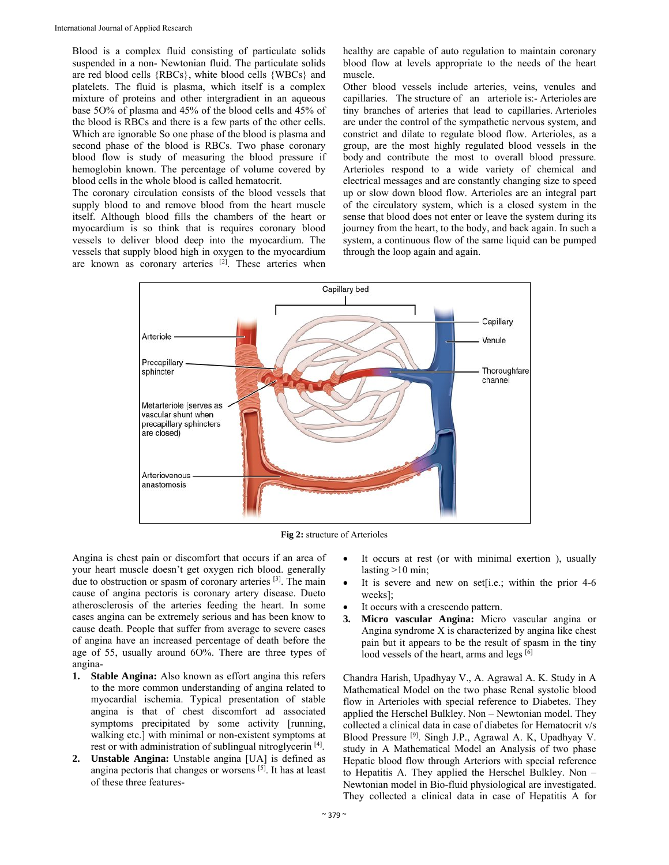Blood is a complex fluid consisting of particulate solids suspended in a non- Newtonian fluid. The particulate solids are red blood cells {RBCs}, white blood cells {WBCs} and platelets. The fluid is plasma, which itself is a complex mixture of proteins and other intergradient in an aqueous base 5O% of plasma and 45% of the blood cells and 45% of the blood is RBCs and there is a few parts of the other cells. Which are ignorable So one phase of the blood is plasma and second phase of the blood is RBCs. Two phase coronary blood flow is study of measuring the blood pressure if hemoglobin known. The percentage of volume covered by blood cells in the whole blood is called hematocrit.

The coronary circulation consists of the blood vessels that supply blood to and remove blood from the heart muscle itself. Although blood fills the chambers of the heart or myocardium is so think that is requires coronary blood vessels to deliver blood deep into the myocardium. The vessels that supply blood high in oxygen to the myocardium are known as coronary arteries <sup>[2]</sup>. These arteries when healthy are capable of auto regulation to maintain coronary blood flow at levels appropriate to the needs of the heart muscle.

Other blood vessels include arteries, veins, venules and capillaries. The structure of an arteriole is:- Arterioles are tiny branches of arteries that lead to capillaries. Arterioles are under the control of the sympathetic nervous system, and constrict and dilate to regulate blood flow. Arterioles, as a group, are the most highly regulated blood vessels in the body and contribute the most to overall blood pressure. Arterioles respond to a wide variety of chemical and electrical messages and are constantly changing size to speed up or slow down blood flow. Arterioles are an integral part of the circulatory system, which is a closed system in the sense that blood does not enter or leave the system during its journey from the heart, to the body, and back again. In such a system, a continuous flow of the same liquid can be pumped through the loop again and again.



**Fig 2:** structure of Arterioles

Angina is chest pain or discomfort that occurs if an area of your heart muscle doesn't get oxygen rich blood. generally due to obstruction or spasm of coronary arteries [3]. The main cause of angina pectoris is coronary artery disease. Dueto atherosclerosis of the arteries feeding the heart. In some cases angina can be extremely serious and has been know to cause death. People that suffer from average to severe cases of angina have an increased percentage of death before the age of 55, usually around 6O%. There are three types of angina-

- **1. Stable Angina:** Also known as effort angina this refers to the more common understanding of angina related to myocardial ischemia. Typical presentation of stable angina is that of chest discomfort ad associated symptoms precipitated by some activity [running, walking etc.] with minimal or non-existent symptoms at rest or with administration of sublingual nitroglycerin [4].
- **2. Unstable Angina:** Unstable angina [UA] is defined as angina pectoris that changes or worsens [5]. It has at least of these three features-
- It occurs at rest (or with minimal exertion ), usually lasting >10 min;
- It is severe and new on set[i.e.; within the prior 4-6 weeks];
- It occurs with a crescendo pattern.
- **3. Micro vascular Angina:** Micro vascular angina or Angina syndrome X is characterized by angina like chest pain but it appears to be the result of spasm in the tiny lood vessels of the heart, arms and legs [6]

Chandra Harish, Upadhyay V., A. Agrawal A. K. Study in A Mathematical Model on the two phase Renal systolic blood flow in Arterioles with special reference to Diabetes. They applied the Herschel Bulkley. Non – Newtonian model. They collected a clinical data in case of diabetes for Hematocrit v/s Blood Pressure [9]. Singh J.P., Agrawal A. K, Upadhyay V. study in A Mathematical Model an Analysis of two phase Hepatic blood flow through Arteriors with special reference to Hepatitis A. They applied the Herschel Bulkley. Non – Newtonian model in Bio-fluid physiological are investigated. They collected a clinical data in case of Hepatitis A for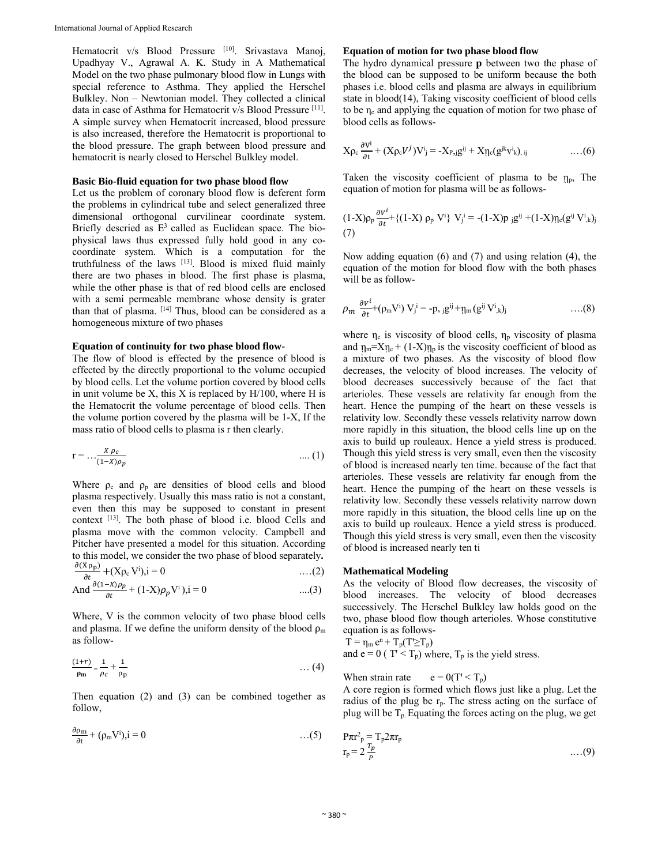Hematocrit v/s Blood Pressure [10]. Srivastava Manoj, Upadhyay V., Agrawal A. K. Study in A Mathematical Model on the two phase pulmonary blood flow in Lungs with special reference to Asthma. They applied the Herschel Bulkley. Non – Newtonian model. They collected a clinical data in case of Asthma for Hematocrit v/s Blood Pressure [11]. A simple survey when Hematocrit increased, blood pressure is also increased, therefore the Hematocrit is proportional to the blood pressure. The graph between blood pressure and hematocrit is nearly closed to Herschel Bulkley model.

#### **Basic Bio-fluid equation for two phase blood flow**

Let us the problem of coronary blood flow is deferent form the problems in cylindrical tube and select generalized three dimensional orthogonal curvilinear coordinate system. Briefly descried as  $E<sup>3</sup>$  called as Euclidean space. The biophysical laws thus expressed fully hold good in any cocoordinate system. Which is a computation for the truthfulness of the laws [13]. Blood is mixed fluid mainly there are two phases in blood. The first phase is plasma, while the other phase is that of red blood cells are enclosed with a semi permeable membrane whose density is grater than that of plasma. [14] Thus, blood can be considered as a homogeneous mixture of two phases

#### **Equation of continuity for two phase blood flow-**

The flow of blood is effected by the presence of blood is effected by the directly proportional to the volume occupied by blood cells. Let the volume portion covered by blood cells in unit volume be  $X$ , this  $X$  is replaced by  $H/100$ , where  $H$  is the Hematocrit the volume percentage of blood cells. Then the volume portion covered by the plasma will be 1-X, If the mass ratio of blood cells to plasma is r then clearly.

$$
r = \dots \frac{x \rho_c}{(1 - x)\rho_p} \qquad \qquad \dots (1)
$$

Where  $\rho_c$  and  $\rho_p$  are densities of blood cells and blood plasma respectively. Usually this mass ratio is not a constant, even then this may be supposed to constant in present context [13]. The both phase of blood i.e. blood Cells and plasma move with the common velocity. Campbell and Pitcher have presented a model for this situation. According to this model, we consider the two phase of blood separately**.** 

$$
\frac{\partial (X \rho_{p})}{\partial t} + (X \rho_{c} V^{i}), i = 0 \qquad \qquad \dots (2)
$$
  
And 
$$
\frac{\partial (1 - X)\rho_{p}}{\partial t} + (1 - X)\rho_{p} V^{i}), i = 0 \qquad \qquad \dots (3)
$$

Where, V is the common velocity of two phase blood cells and plasma. If we define the uniform density of the blood  $\rho_m$ 

as follow-

$$
\frac{(1+r)}{\rho_m} = \frac{1}{\rho_c} + \frac{1}{\rho_p} \qquad \qquad \dots (4)
$$

Then equation (2) and (3) can be combined together as follow,

$$
\frac{\partial \rho_m}{\partial t} + (\rho_m V^i), i = 0 \tag{5}
$$

#### **Equation of motion for two phase blood flow**

The hydro dynamical pressure **p** between two the phase of the blood can be supposed to be uniform because the both phases i.e. blood cells and plasma are always in equilibrium state in blood(14), Taking viscosity coefficient of blood cells to be  $\eta_c$  and applying the equation of motion for two phase of blood cells as follows-

$$
X\rho_c \frac{\partial v^i}{\partial t} + (X\rho_c V^j)V^i_j = -X_{P_2j}g^{ij} + X\eta_c(g^{jk}v^i_k)_{,ij} \qquad \qquad \dots (6)
$$

Taken the viscosity coefficient of plasma to be  $\eta_p$ , The equation of motion for plasma will be as follows-

$$
(1-X)\rho_p \frac{\partial v^i}{\partial t} + \{(1-X)\ \rho_p \ V^i\} \ V^i_j = -(1-X)p \ jg^{ij} + (1-X)\eta_c(g^{ij} \ V^i_{\ k})_j
$$
\n(7)

Now adding equation (6) and (7) and using relation (4), the equation of the motion for blood flow with the both phases will be as follow-

$$
\rho_m \frac{\partial v^i}{\partial t} + (\rho_m V^i) V_j^{i} = -p, j g^{ij} + \eta_m (g^{ij} V^i{}_{,k})_j \qquad \qquad \dots (8)
$$

where  $\eta_c$  is viscosity of blood cells,  $\eta_p$  viscosity of plasma and  $\eta_m = X \eta_c + (1-X) \eta_p$  is the viscosity coefficient of blood as a mixture of two phases. As the viscosity of blood flow decreases, the velocity of blood increases. The velocity of blood decreases successively because of the fact that arterioles. These vessels are relativity far enough from the heart. Hence the pumping of the heart on these vessels is relativity low. Secondly these vessels relativity narrow down more rapidly in this situation, the blood cells line up on the axis to build up rouleaux. Hence a yield stress is produced. Though this yield stress is very small, even then the viscosity of blood is increased nearly ten time. because of the fact that arterioles. These vessels are relativity far enough from the heart. Hence the pumping of the heart on these vessels is relativity low. Secondly these vessels relativity narrow down more rapidly in this situation, the blood cells line up on the axis to build up rouleaux. Hence a yield stress is produced. Though this yield stress is very small, even then the viscosity of blood is increased nearly ten ti

#### **Mathematical Modeling**

As the velocity of Blood flow decreases, the viscosity of blood increases. The velocity of blood decreases successively. The Herschel Bulkley law holds good on the two, phase blood flow though arterioles. Whose constitutive equation is as follows-

 $T = \eta_m e^n + T_p(T \geq T_p)$ 

and e = 0 ( $T < T_p$ ) where,  $T_p$  is the yield stress.

When strain rate  $e = 0(T < T_p)$ 

A core region is formed which flows just like a plug. Let the radius of the plug be  $r_p$ . The stress acting on the surface of plug will be  $T_p$ . Equating the forces acting on the plug, we get

$$
P\pi r^2_{\ p} = T_p 2\pi r_p
$$
  
\n
$$
r_p = 2\frac{r_p}{p}
$$
...(9)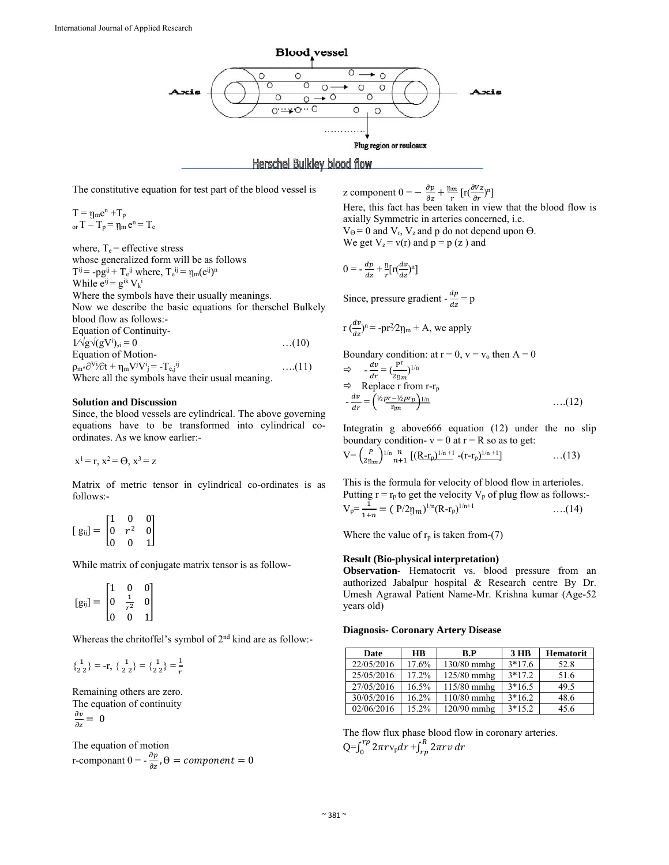

The constitutive equation for test part of the blood vessel is

 $T = \eta_m e^n + T_p$ or  $T - T_p = \eta_m e^n = T_e$ 

where,  $T_e$  = effective stress whose generalized form will be as follows  $T^{ij}$  = -pg<sup>ij</sup> + T<sub>e</sub><sup>ij</sup> where, T<sub>e</sub><sup>ij</sup> =  $\eta_m(e^{ij})^n$ While  $e^{ij} = g^{ik} V_k^i$ Where the symbols have their usually meanings. Now we describe the basic equations for therschel Bulkely blood flow as follows:- Equation of Continuity- $1/\sqrt{g}\sqrt{g}V^{i}$ <sub>)</sub>, = 0  $\dots (10)$ Equation of Motion- $\rho_{m*}\partial^{Vi}\partial t + \eta_m V^j V^i = -T_{e,j}^{ij}$  ….(11) Where all the symbols have their usual meaning.

#### **Solution and Discussion**

Since, the blood vessels are cylindrical. The above governing equations have to be transformed into cylindrical coordinates. As we know earlier:-

 $x^1 = r$ ,  $x^2 = \Theta$ ,  $x^3 = z$ 

Matrix of metric tensor in cylindrical co-ordinates is as follows:-

$$
[g_{ij}] = \begin{bmatrix} 1 & 0 & 0 \\ 0 & r^2 & 0 \\ 0 & 0 & 1 \end{bmatrix}
$$

While matrix of conjugate matrix tensor is as follow-

$$
[g_{ij}] = \begin{bmatrix} 1 & 0 & 0 \\ 0 & \frac{1}{r^2} & 0 \\ 0 & 0 & 1 \end{bmatrix}
$$

Whereas the chritoffel's symbol of 2nd kind are as follow:-

$$
\begin{pmatrix} 1 \\ 2 \ 2 \end{pmatrix} = -r, \ \begin{pmatrix} 1 \\ 2 \ 2 \end{pmatrix} = \begin{pmatrix} 1 \\ 2 \ 2 \end{pmatrix} = \frac{1}{r}
$$

Remaining others are zero. The equation of continuity  $\frac{\partial v}{\partial z} = 0$ 

The equation of motion r-componant  $0 = -\frac{\partial p}{\partial z}$ ,  $\Theta = component = 0$  z component  $0 = -\frac{\partial p}{\partial z} + \frac{\eta_m}{r} \left[ r \left( \frac{\partial Vz}{\partial r} \right)^n \right]$ 

Here, this fact has been taken in view that the blood flow is axially Symmetric in arteries concerned, i.e.  $V_{\Theta} = 0$  and  $V_r$ ,  $V_z$  and p do not depend upon  $\Theta$ .

We get  $V_z = v(r)$  and  $p = p(z)$  and

$$
0 = -\frac{dp}{dz} + \frac{\eta}{r} \left[ r \left( \frac{dv}{dz} \right)^n \right]
$$

Since, pressure gradient -  $\frac{dp}{dz} = p$ 

$$
r\left(\frac{dv}{dz}\right)^n = -pr^2/2\eta_m + A
$$
, we apply

Boundary condition: at  $r = 0$ ,  $v = v_0$  then  $A = 0$ 

$$
\Rightarrow -\frac{dv}{dr} = \left(\frac{P^{\text{r}}}{2\eta_m}\right)^{1/n}
$$
  
\n
$$
\Rightarrow \text{Replace r from r-r}_{p}
$$
  
\n
$$
-\frac{dv}{dr} = \left(\frac{\frac{1}{2}pr - \frac{1}{2}pr_p}{\eta_m}\right)^{1/n}
$$
...(12)

Integratin g above666 equation (12) under the no slip boundary condition- $v = 0$  at  $r = R$  so as to get:

$$
V = {P \choose 2 \eta_m}^{1/n} \frac{n}{n+1} \left[ \left( R \text{-} r_p \right)^{1/n+1} \text{-} \left( r \text{-} r_p \right)^{1/n+1} \right] \tag{13}
$$

This is the formula for velocity of blood flow in arterioles. Putting  $r = r_p$  to get the velocity  $V_p$  of plug flow as follows:- $V_p = \frac{1}{1+n} = (P/2 \eta_m)^{1/n} (R - r_p)^{1/n+1}$  ....(14)

Where the value of  $r_p$  is taken from-(7)

### **Result (Bio-physical interpretation)**

**Observation-** Hematocrit vs. blood pressure from an authorized Jabalpur hospital & Research centre By Dr. Umesh Agrawal Patient Name-Mr. Krishna kumar (Age-52 years old)

#### **Diagnosis- Coronary Artery Disease**

| Date       | <b>HB</b> | R.P         | $3$ HB   | <b>Hematorit</b> |
|------------|-----------|-------------|----------|------------------|
| 22/05/2016 | 17.6%     | 130/80 mmhg | $3*17.6$ | 52.8             |
| 25/05/2016 | 17.2%     | 125/80 mmhg | $3*17.2$ | 51.6             |
| 27/05/2016 | 16.5%     | 115/80 mmhg | $3*16.5$ | 49.5             |
| 30/05/2016 | 16.2%     | 110/80 mmhg | $3*16.2$ | 48.6             |
| 02/06/2016 | 15.2%     | 120/90 mmhg | $3*15.2$ | 45.6             |

The flow flux phase blood flow in coronary arteries. Q= $\int_0^{rp} 2\pi r \text{v}_{\text{p}} dr + \int_{rp}^R 2\pi r v \, dr$